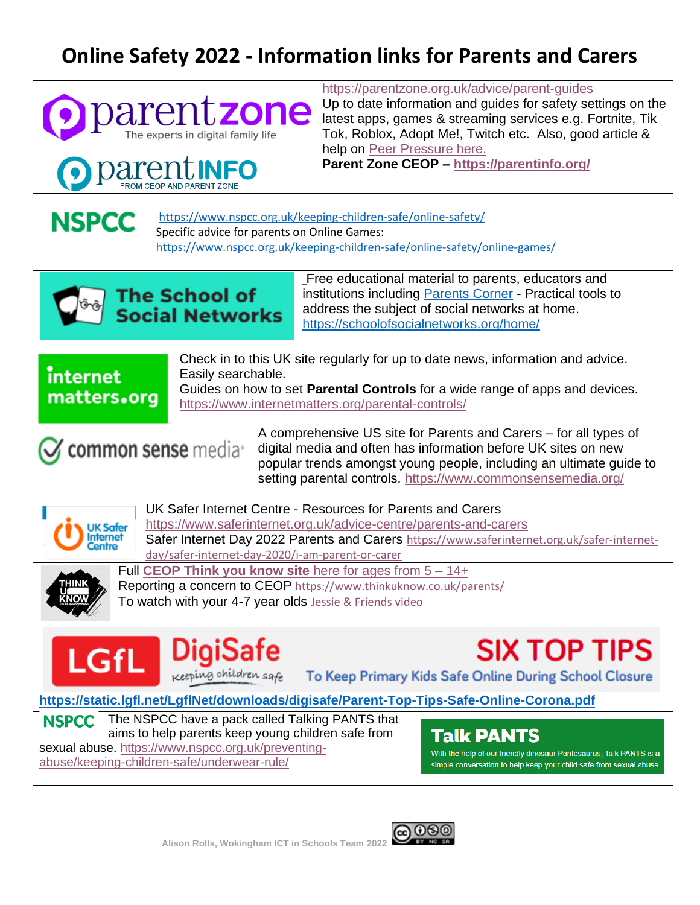## **Online Safety 2022 - Information links for Parents and Carers**